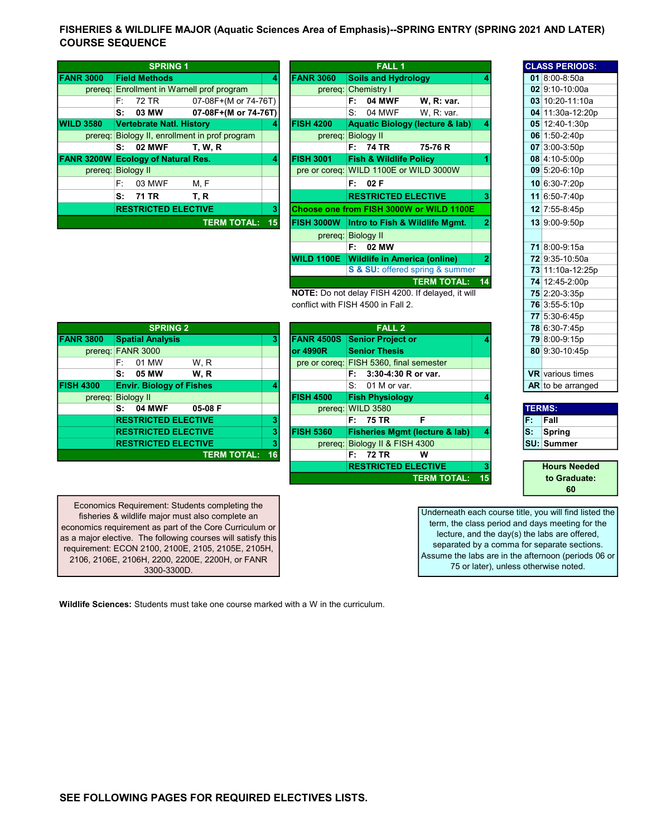## FISHERIES & WILDLIFE MAJOR (Aquatic Sciences Area of Emphasis)--SPRING ENTRY (SPRING 2021 AND LATER) COURSE SEQUENCE

|                                           | <b>SPRING 1</b> |                                 |                                                |    | FALL <sub>1</sub>                                |    |                                        |                                            |  |  | <b>CLASS PERIOL</b> |               |  |
|-------------------------------------------|-----------------|---------------------------------|------------------------------------------------|----|--------------------------------------------------|----|----------------------------------------|--------------------------------------------|--|--|---------------------|---------------|--|
| <b>FANR 3000</b>                          |                 | <b>Field Methods</b>            |                                                |    | <b>FANR 3060</b>                                 |    | <b>Soils and Hydrology</b>             |                                            |  |  |                     | 01 8:00-8:50a |  |
|                                           |                 |                                 | prereg: Enrollment in Warnell prof program     |    |                                                  |    | prereq: Chemistry I                    |                                            |  |  |                     | 02 9:10-10:00 |  |
|                                           | F: I            | 72 TR                           | 07-08F+(M or 74-76T)                           |    |                                                  |    | $F: 04$ MWF                            | W. R: var.                                 |  |  |                     | 03 10:20-11:1 |  |
|                                           | S:              | 03 MW                           | 07-08F+(M or 74-76T)                           |    |                                                  | S: | 04 MWF                                 | W.R: var.                                  |  |  |                     | 04 11:30a-12: |  |
| <b>WILD 3580</b>                          |                 | <b>Vertebrate Natl. History</b> |                                                |    | <b>FISH 4200</b>                                 |    |                                        | <b>Aquatic Biology (lecture &amp; lab)</b> |  |  |                     | 05 12:40-1:30 |  |
|                                           |                 |                                 | prereg: Biology II, enrollment in prof program |    | prereg: Biology II                               |    |                                        |                                            |  |  |                     | 06 1:50-2:40p |  |
|                                           |                 | $S: 02$ MWF                     | <b>T. W. R</b>                                 |    |                                                  |    | F: 74 TR                               | 75-76 R                                    |  |  |                     | 07 3:00-3:50p |  |
| <b>FANR 3200W Ecology of Natural Res.</b> |                 |                                 |                                                | 41 | <b>FISH 3001</b>                                 |    | <b>Fish &amp; Wildlife Policy</b>      |                                            |  |  |                     | 08 4:10-5:00p |  |
| prereq: Biology II                        |                 |                                 |                                                |    |                                                  |    | pre or coreq: WILD 1100E or WILD 3000W |                                            |  |  |                     | 09 5:20-6:10p |  |
|                                           | F:              | 03 MWF                          | M, F                                           |    |                                                  |    | F: 02F                                 |                                            |  |  |                     | 10 6:30-7:20p |  |
|                                           | s:              | 71 TR                           | T, R                                           |    |                                                  |    | <b>RESTRICTED ELECTIVE</b>             |                                            |  |  |                     | 11 6:50-7:40p |  |
|                                           |                 | <b>RESTRICTED ELECTIVE</b>      |                                                | 31 |                                                  |    |                                        | Choose one from FISH 3000W or WILD 1100E   |  |  |                     | 12 7:55-8:45p |  |
|                                           |                 |                                 | <b>TERM TOTAL:</b>                             | 15 | <b>FISH 3000W</b> Intro to Fish & Wildlife Mgmt. |    |                                        |                                            |  |  |                     | 13 9:00-9:50p |  |
|                                           |                 |                                 |                                                |    |                                                  |    |                                        |                                            |  |  |                     |               |  |

|                    | <b>SPRING 1</b> |                                 |                                        |                      |    |                    | <b>CLASS PERIOD:</b>                   |                                            |   |  |  |                        |
|--------------------|-----------------|---------------------------------|----------------------------------------|----------------------|----|--------------------|----------------------------------------|--------------------------------------------|---|--|--|------------------------|
| 3000               |                 | <b>Field Methods</b>            |                                        |                      | 4  | <b>FANR 3060</b>   | <b>Soils and Hydrology</b>             |                                            |   |  |  | 01 8:00-8:50a          |
| prereq:            |                 |                                 | Enrollment in Warnell prof program     |                      |    |                    | prereq: Chemistry I                    |                                            |   |  |  | 02 9:10-10:00a         |
|                    | F.              | 72 TR                           |                                        | 07-08F+(M or 74-76T) |    |                    | 04 MWF<br>F:                           | W. R: var.                                 |   |  |  | 03 10:20-11:10         |
|                    | s:              | 03 MW                           |                                        | 07-08F+(M or 74-76T) |    |                    | 04 MWF<br>S.                           | W, R: var.                                 |   |  |  | 04 11:30a-12:2         |
| 3580.              |                 | <b>Vertebrate Natl. History</b> |                                        |                      | 4  | <b>FISH 4200</b>   |                                        | <b>Aquatic Biology (lecture &amp; lab)</b> |   |  |  | 05 12:40-1:30p         |
| prereq:            |                 |                                 | Biology II, enrollment in prof program |                      |    | prereq:            | <b>Biology II</b>                      |                                            |   |  |  | 06 1:50-2:40p          |
|                    | s:              | <b>02 MWF</b>                   | <b>T. W. R</b>                         |                      |    |                    | F: 74 TR                               | 75-76 R                                    |   |  |  | $07$ 3:00-3:50p        |
|                    |                 | 3200W Ecology of Natural Res.   |                                        |                      | 4  | <b>FISH 3001</b>   | <b>Fish &amp; Wildlife Policy</b>      |                                            |   |  |  | 08 4:10-5:00p          |
| prereq: Biology II |                 |                                 |                                        |                      |    |                    | pre or coreq: WILD 1100E or WILD 3000W |                                            |   |  |  | $09 \mid 5:20 - 6:10p$ |
|                    | F:              | 03 MWF                          | M, F                                   |                      |    |                    | F: 02F                                 |                                            |   |  |  | 10 6:30-7:20p          |
|                    |                 | S: 71 TR                        | T. R                                   |                      |    |                    | <b>RESTRICTED ELECTIVE</b>             |                                            | з |  |  | 11 6:50-7:40p          |
|                    |                 | <b>RESTRICTED ELECTIVE</b>      |                                        |                      | 3  |                    |                                        | Choose one from FISH 3000W or WILD 1100E   |   |  |  | 12 7:55-8:45p          |
|                    |                 |                                 |                                        | <b>TERM TOTAL:</b>   | 15 | <b>IFISH 3000W</b> |                                        | Intro to Fish & Wildlife Mgmt.             |   |  |  | 13 9:00-9:50p          |
|                    |                 |                                 |                                        |                      |    |                    | prereg: Biology II                     |                                            |   |  |  |                        |
|                    |                 |                                 |                                        |                      |    |                    | F: 02 MW                               |                                            |   |  |  | 71 8:00-9:15a          |
|                    |                 |                                 |                                        |                      |    | <b>WILD 1100E</b>  | <b>Wildlife in America (online)</b>    |                                            |   |  |  | 72 9:35-10:50a         |
|                    |                 |                                 |                                        |                      |    |                    |                                        | S & SU: offered spring & summer            |   |  |  | 73 11:10a-12:2         |
|                    |                 |                                 |                                        |                      |    |                    |                                        | <b>TERM TOTAL:</b>                         |   |  |  | 74 12:45-2:00p         |

NOTE: Do not delay FISH 4200. If delayed, it will 75 2:20-3:35p conflict with FISH 4500 in Fall 2. 76 3:55-5:10p

|                   |                   | <b>SPRING 2</b>                 |                       |   |                                         |                      | <b>FALL 2</b>              |                                           |    |               | 78 6:30-7:45p           |
|-------------------|-------------------|---------------------------------|-----------------------|---|-----------------------------------------|----------------------|----------------------------|-------------------------------------------|----|---------------|-------------------------|
| 3800              |                   | <b>Spatial Analysis</b>         |                       |   | <b>FANR 4500S</b>                       |                      | <b>Senior Project or</b>   |                                           |    |               | 79 8:00-9:15p           |
| prereq: FANR 3000 |                   |                                 |                       |   | or 4990R                                | <b>Senior Thesis</b> |                            |                                           |    |               | 80 9:30-10:45p          |
|                   | F:                | 01 MW                           | W.R                   |   | pre or coreq: FISH 5360, final semester |                      |                            |                                           |    |               |                         |
|                   |                   | S: 05 MW                        | W.R                   |   |                                         | F: I                 | 3:30-4:30 R or var.        |                                           |    |               | <b>VR</b> various times |
| 300.              |                   | <b>Envir. Biology of Fishes</b> |                       | 4 |                                         |                      | $S: 01$ M or var.          |                                           |    |               | AR to be arrange        |
| prereq:           | <b>Biology II</b> |                                 |                       |   | <b>FISH 4500</b>                        |                      | <b>Fish Physiology</b>     |                                           |    |               |                         |
|                   | S:                | <b>04 MWF</b>                   | 05-08 F               |   | prereq:                                 | <b>WILD 3580</b>     |                            |                                           |    | <b>TERMS:</b> |                         |
|                   |                   | <b>RESTRICTED ELECTIVE</b>      |                       | 3 |                                         | F: 75 TR             |                            | F                                         |    | F.            | <b>Fall</b>             |
|                   |                   | <b>RESTRICTED ELECTIVE</b>      |                       | 3 | <b>FISH 5360</b>                        |                      |                            | <b>Fisheries Mgmt (lecture &amp; lab)</b> |    | ls:           | Spring                  |
|                   |                   | <b>RESTRICTED ELECTIVE</b>      |                       | з | prereq:                                 |                      | Biology II & FISH 4300     |                                           |    |               | <b>SU: Summer</b>       |
|                   |                   |                                 | <b>TERM TOTAL: 16</b> |   |                                         | F: 72 TR             |                            | w                                         |    |               |                         |
|                   |                   |                                 |                       |   |                                         |                      | <b>RESTRICTED ELECTIVE</b> |                                           |    |               | <b>Hours Neede</b>      |
|                   |                   |                                 |                       |   |                                         |                      |                            | <b>TERM TOTAL:</b>                        | 15 |               | to Graduate:            |
|                   |                   |                                 |                       |   |                                         |                      |                            |                                           |    |               |                         |

|                  | <b>SPRING 2</b>                 |                    |    |                  |                                           |  | 78 6:30-7:45p |                   |
|------------------|---------------------------------|--------------------|----|------------------|-------------------------------------------|--|---------------|-------------------|
| <b>FANR 3800</b> | <b>Spatial Analysis</b>         |                    | з  |                  | <b>FANR 4500S Senior Project or</b>       |  |               | 79 8:00-9:15p     |
|                  | prereq: FANR 3000               |                    |    | lor 4990R        | <b>Senior Thesis</b>                      |  |               | 80 9:30-10:45     |
|                  | 01 MW<br>F:                     | W.R                |    |                  | pre or coreq: FISH 5360, final semester   |  |               |                   |
|                  | 05 MW<br>S:                     | W.R                |    |                  | $F: 3:30-4:30 R$ or var.                  |  |               | VR various tim    |
| <b>FISH 4300</b> | <b>Envir. Biology of Fishes</b> |                    | 4  |                  | $S: 01$ M or var.                         |  |               | AR to be arran    |
| prereq:          | <b>Biology II</b>               |                    |    | <b>FISH 4500</b> | <b>Fish Physiology</b>                    |  |               |                   |
|                  | <b>04 MWF</b><br>s:             | 05-08 F            |    |                  | prereq: WILD 3580                         |  |               | <b>TERMS:</b>     |
|                  | <b>RESTRICTED ELECTIVE</b>      |                    | 3  |                  | F: 75 TR<br>F                             |  | F.            | Fall              |
|                  | <b>RESTRICTED ELECTIVE</b>      |                    | 3  | <b>FISH 5360</b> | <b>Fisheries Mgmt (lecture &amp; lab)</b> |  | ls:           | Spring            |
|                  | <b>RESTRICTED ELECTIVE</b>      |                    |    | prereg:          | Biology II & FISH 4300                    |  |               | <b>SU: Summer</b> |
|                  |                                 | <b>TERM TOTAL:</b> | 16 |                  | F: 72 TR<br>W                             |  |               |                   |
|                  |                                 |                    |    |                  |                                           |  |               |                   |

Economics Requirement: Students completing the fisheries & wildlife major must also complete an economics requirement as part of the Core Curriculum or as a major elective. The following courses will satisfy this requirement: ECON 2100, 2100E, 2105, 2105E, 2105H, 2106, 2106E, 2106H, 2200, 2200E, 2200H, or FANR 3300-3300D.

Underneath each course title, you will find listed the term, the class period and days meeting for the lecture, and the day(s) the labs are offered, separated by a comma for separate sections. Assume the labs are in the afternoon (periods 06 or 75 or later), unless otherwise noted.

CLASS PERIODS:

**03** 10:20-11:10a 04 11:30a-12:20p 05 12:40-1:30p

71 8:00-9:15a 72 9:35-10:50a 73 11:10a-12:25p 74 12:45-2:00p

77 5:30-6:45p 78 6:30-7:45p

AR to be arranged

Hours Needed to Graduate: 60

Wildlife Sciences: Students must take one course marked with a W in the curriculum.